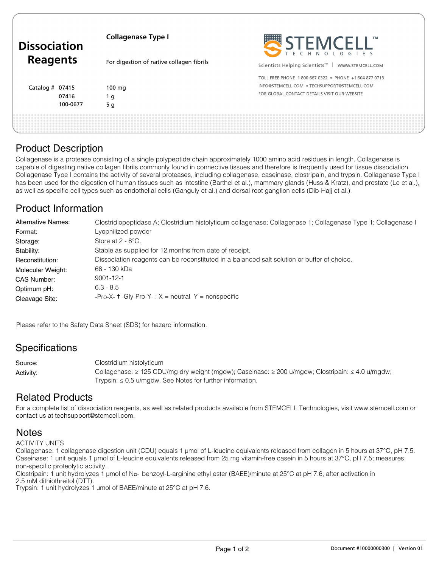| <b>Dissociation</b><br><b>Reagents</b> |          | <b>Collagenase Type I</b>                | STEMCELL'                                                        |
|----------------------------------------|----------|------------------------------------------|------------------------------------------------------------------|
|                                        |          | For digestion of native collagen fibrils | Scientists Helping Scientists <sup>™</sup>  <br>WWW.STEMCELL.COM |
|                                        |          |                                          | TOLL FREE PHONE 1800 667 0322 . PHONE +1 604 877 0713            |
| Catalog $#$ 07415                      |          | $100 \text{ mg}$                         | INFO@STEMCELL.COM . TECHSUPPORT@STEMCELL.COM                     |
|                                        | 07416    | 1 q                                      | FOR GLOBAL CONTACT DETAILS VISIT OUR WEBSITE                     |
|                                        | 100-0677 | 5 <sub>g</sub>                           |                                                                  |
|                                        |          |                                          |                                                                  |

## Product Description

Collagenase is a protease consisting of a single polypeptide chain approximately 1000 amino acid residues in length. Collagenase is capable of digesting native collagen fibrils commonly found in connective tissues and therefore is frequently used for tissue dissociation. Collagenase Type I contains the activity of several proteases, including collagenase, caseinase, clostripain, and trypsin. Collagenase Type I has been used for the digestion of human tissues such as intestine (Barthel et al.), mammary glands (Huss & Kratz), and prostate (Le et al.), as well as specific cell types such as endothelial cells (Ganguly et al.) and dorsal root ganglion cells (Dib-Hajj et al.).

# Product Information

| Alternative Names: | Clostridiopeptidase A; Clostridium histolyticum collagenase; Collagenase 1; Collagenase Type 1; Collagenase I |  |
|--------------------|---------------------------------------------------------------------------------------------------------------|--|
| Format:            | Lyophilized powder                                                                                            |  |
| Storage:           | Store at $2 - 8$ °C.                                                                                          |  |
| Stability:         | Stable as supplied for 12 months from date of receipt.                                                        |  |
| Reconstitution:    | Dissociation reagents can be reconstituted in a balanced salt solution or buffer of choice.                   |  |
| Molecular Weight:  | 68 - 130 kDa                                                                                                  |  |
| CAS Number:        | $9001 - 12 - 1$                                                                                               |  |
| Optimum pH:        | $6.3 - 8.5$                                                                                                   |  |
| Cleavage Site:     | -Pro-X- $\uparrow$ -Gly-Pro-Y- : X = neutral Y = nonspecific                                                  |  |

Please refer to the Safety Data Sheet (SDS) for hazard information.

## **Specifications**

Clostridium histolyticum Collagenase: ≥ 125 CDU/mg dry weight (mgdw); Caseinase: ≥ 200 u/mgdw; Clostripain: ≤ 4.0 u/mgdw; Trypsin:  $\leq 0.5$  u/mgdw. See Notes for further information. Source: Activity:

## Related Products

For a complete list of dissociation reagents, as well as related products available from STEMCELL Technologies, visit www.stemcell.com or contact us at techsupport@stemcell.com.

#### **Notes**

ACTIVITY UNITS

Collagenase: 1 collagenase digestion unit (CDU) equals 1 µmol of L-leucine equivalents released from collagen in 5 hours at 37°C, pH 7.5. Caseinase: 1 unit equals 1 µmol of L-leucine equivalents released from 25 mg vitamin-free casein in 5 hours at 37°C, pH 7.5; measures non-specific proteolytic activity.

Clostripain: 1 unit hydrolyzes 1 µmol of Nα- benzoyl-L-arginine ethyl ester (BAEE)/minute at 25°C at pH 7.6, after activation in 2.5 mM dithiothreitol (DTT).

Trypsin: 1 unit hydrolyzes 1 µmol of BAEE/minute at 25°C at pH 7.6.